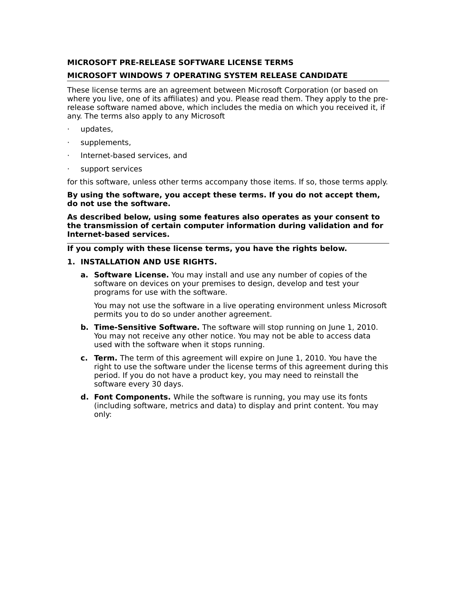### **MICROSOFT PRE-RELEASE SOFTWARE LICENSE TERMS**

## **MICROSOFT WINDOWS 7 OPERATING SYSTEM RELEASE CANDIDATE**

These license terms are an agreement between Microsoft Corporation (or based on where you live, one of its affiliates) and you. Please read them. They apply to the prerelease software named above, which includes the media on which you received it, if any. The terms also apply to any Microsoft

- · updates,
- supplements,
- · Internet-based services, and
- support services

for this software, unless other terms accompany those items. If so, those terms apply.

**By using the software, you accept these terms. If you do not accept them, do not use the software.**

**As described below, using some features also operates as your consent to the transmission of certain computer information during validation and for Internet-based services.**

### **If you comply with these license terms, you have the rights below.**

#### **1. INSTALLATION AND USE RIGHTS.**

**a. Software License.** You may install and use any number of copies of the software on devices on your premises to design, develop and test your programs for use with the software.

You may not use the software in a live operating environment unless Microsoft permits you to do so under another agreement.

- **b. Time-Sensitive Software.** The software will stop running on June 1, 2010. You may not receive any other notice. You may not be able to access data used with the software when it stops running.
- **c. Term.** The term of this agreement will expire on June 1, 2010. You have the right to use the software under the license terms of this agreement during this period. If you do not have a product key, you may need to reinstall the software every 30 days.
- **d. Font Components.** While the software is running, you may use its fonts (including software, metrics and data) to display and print content. You may only: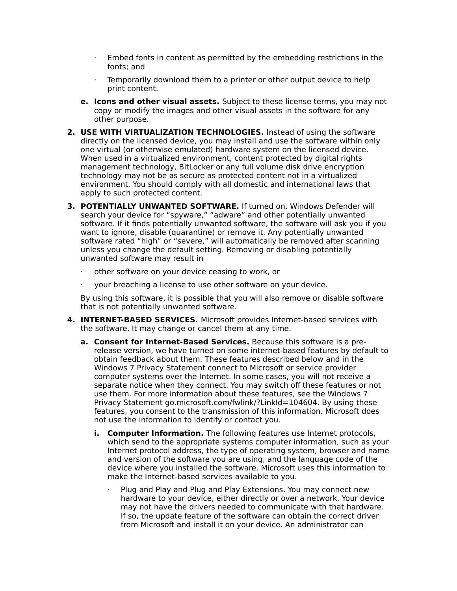- $\cdot$  Embed fonts in content as permitted by the embedding restrictions in the fonts; and
- Temporarily download them to a printer or other output device to help print content.
- **e. Icons and other visual assets.** Subject to these license terms, you may not copy or modify the images and other visual assets in the software for any other purpose.
- **2. USE WITH VIRTUALIZATION TECHNOLOGIES.** Instead of using the software directly on the licensed device, you may install and use the software within only one virtual (or otherwise emulated) hardware system on the licensed device. When used in a virtualized environment, content protected by digital rights management technology, BitLocker or any full volume disk drive encryption technology may not be as secure as protected content not in a virtualized environment. You should comply with all domestic and international laws that apply to such protected content.
- **3. POTENTIALLY UNWANTED SOFTWARE.** If turned on, Windows Defender will search your device for "spyware," "adware" and other potentially unwanted software. If it finds potentially unwanted software, the software will ask you if you want to ignore, disable (quarantine) or remove it. Any potentially unwanted software rated "high" or "severe," will automatically be removed after scanning unless you change the default setting. Removing or disabling potentially unwanted software may result in
	- · other software on your device ceasing to work, or
	- your breaching a license to use other software on your device.

By using this software, it is possible that you will also remove or disable software that is not potentially unwanted software.

- **4. INTERNET-BASED SERVICES.** Microsoft provides Internet-based services with the software. It may change or cancel them at any time.
	- **a. Consent for Internet-Based Services.** Because this software is a prerelease version, we have turned on some internet-based features by default to obtain feedback about them. These features described below and in the Windows 7 Privacy Statement connect to Microsoft or service provider computer systems over the Internet. In some cases, you will not receive a separate notice when they connect. You may switch off these features or not use them. For more information about these features, see the Windows 7 Privacy Statement go.microsoft.com/fwlink/?LinkId=104604. By using these features, you consent to the transmission of this information. Microsoft does not use the information to identify or contact you.
		- **i. Computer Information.** The following features use Internet protocols, which send to the appropriate systems computer information, such as your Internet protocol address, the type of operating system, browser and name and version of the software you are using, and the language code of the device where you installed the software. Microsoft uses this information to make the Internet-based services available to you.
			- Plug and Play and Plug and Play Extensions. You may connect new hardware to your device, either directly or over a network. Your device may not have the drivers needed to communicate with that hardware. If so, the update feature of the software can obtain the correct driver from Microsoft and install it on your device. An administrator can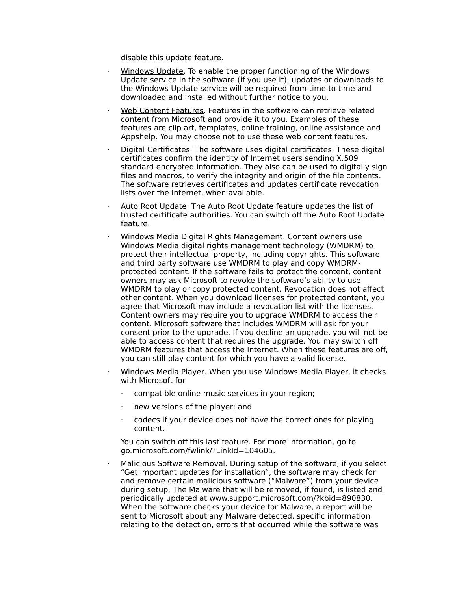disable this update feature.

- · Windows Update. To enable the proper functioning of the Windows Update service in the software (if you use it), updates or downloads to the Windows Update service will be required from time to time and downloaded and installed without further notice to you.
- Web Content Features. Features in the software can retrieve related content from Microsoft and provide it to you. Examples of these features are clip art, templates, online training, online assistance and Appshelp. You may choose not to use these web content features.
- · Digital Certificates. The software uses digital certificates. These digital certificates confirm the identity of Internet users sending X.509 standard encrypted information. They also can be used to digitally sign files and macros, to verify the integrity and origin of the file contents. The software retrieves certificates and updates certificate revocation lists over the Internet, when available.
- Auto Root Update. The Auto Root Update feature updates the list of trusted certificate authorities. You can switch off the Auto Root Update feature.
- Windows Media Digital Rights Management. Content owners use Windows Media digital rights management technology (WMDRM) to protect their intellectual property, including copyrights. This software and third party software use WMDRM to play and copy WMDRMprotected content. If the software fails to protect the content, content owners may ask Microsoft to revoke the software's ability to use WMDRM to play or copy protected content. Revocation does not affect other content. When you download licenses for protected content, you agree that Microsoft may include a revocation list with the licenses. Content owners may require you to upgrade WMDRM to access their content. Microsoft software that includes WMDRM will ask for your consent prior to the upgrade. If you decline an upgrade, you will not be able to access content that requires the upgrade. You may switch off WMDRM features that access the Internet. When these features are off, you can still play content for which you have a valid license.
- · Windows Media Player. When you use Windows Media Player, it checks with Microsoft for
	- compatible online music services in your region;
	- new versions of the player; and
	- · codecs if your device does not have the correct ones for playing content.

You can switch off this last feature. For more information, go to go.microsoft.com/fwlink/?LinkId=104605.

Malicious Software Removal. During setup of the software, if you select "Get important updates for installation", the software may check for and remove certain malicious software ("Malware") from your device during setup. The Malware that will be removed, if found, is listed and periodically updated at www.support.microsoft.com/?kbid=890830. When the software checks your device for Malware, a report will be sent to Microsoft about any Malware detected, specific information relating to the detection, errors that occurred while the software was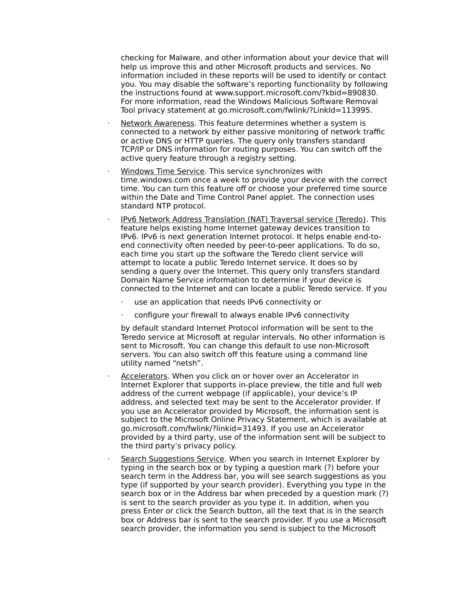checking for Malware, and other information about your device that will help us improve this and other Microsoft products and services. No information included in these reports will be used to identify or contact you. You may disable the software's reporting functionality by following the instructions found at www.support.microsoft.com/?kbid=890830. For more information, read the Windows Malicious Software Removal Tool privacy statement at go.microsoft.com/fwlink/?LinkId=113995.

- Network Awareness. This feature determines whether a system is connected to a network by either passive monitoring of network traffic or active DNS or HTTP queries. The query only transfers standard TCP/IP or DNS information for routing purposes. You can switch off the active query feature through a registry setting.
- Windows Time Service. This service synchronizes with time.windows.com once a week to provide your device with the correct time. You can turn this feature off or choose your preferred time source within the Date and Time Control Panel applet. The connection uses standard NTP protocol.
- · IPv6 Network Address Translation (NAT) Traversal service (Teredo). This feature helps existing home Internet gateway devices transition to IPv6. IPv6 is next generation Internet protocol. It helps enable end-toend connectivity often needed by peer-to-peer applications. To do so, each time you start up the software the Teredo client service will attempt to locate a public Teredo Internet service. It does so by sending a query over the Internet. This query only transfers standard Domain Name Service information to determine if your device is connected to the Internet and can locate a public Teredo service. If you
	- use an application that needs IPv6 connectivity or
	- · configure your firewall to always enable IPv6 connectivity

by default standard Internet Protocol information will be sent to the Teredo service at Microsoft at regular intervals. No other information is sent to Microsoft. You can change this default to use non-Microsoft servers. You can also switch off this feature using a command line utility named "netsh".

- Accelerators. When you click on or hover over an Accelerator in Internet Explorer that supports in-place preview, the title and full web address of the current webpage (if applicable), your device's IP address, and selected text may be sent to the Accelerator provider. If you use an Accelerator provided by Microsoft, the information sent is subject to the Microsoft Online Privacy Statement, which is available at go.microsoft.com/fwlink/?linkid=31493. If you use an Accelerator provided by a third party, use of the information sent will be subject to the third party's privacy policy.
- Search Suggestions Service. When you search in Internet Explorer by typing in the search box or by typing a question mark (?) before your search term in the Address bar, you will see search suggestions as you type (if supported by your search provider). Everything you type in the search box or in the Address bar when preceded by a question mark (?) is sent to the search provider as you type it. In addition, when you press Enter or click the Search button, all the text that is in the search box or Address bar is sent to the search provider. If you use a Microsoft search provider, the information you send is subject to the Microsoft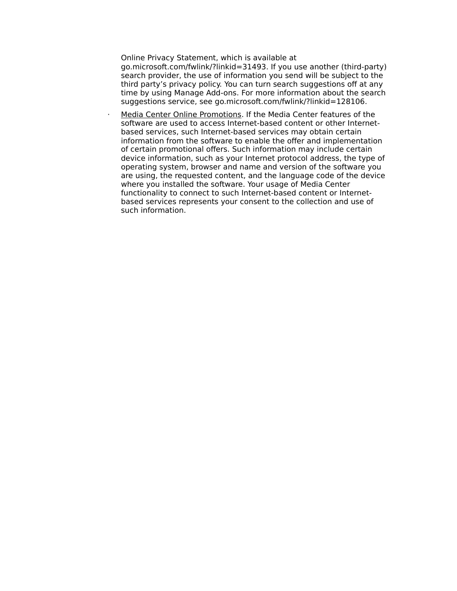Online Privacy Statement, which is available at

go.microsoft.com/fwlink/?linkid=31493. If you use another (third-party) search provider, the use of information you send will be subject to the third party's privacy policy. You can turn search suggestions off at any time by using Manage Add-ons. For more information about the search suggestions service, see go.microsoft.com/fwlink/?linkid=128106.

Media Center Online Promotions. If the Media Center features of the software are used to access Internet-based content or other Internetbased services, such Internet-based services may obtain certain information from the software to enable the offer and implementation of certain promotional offers. Such information may include certain device information, such as your Internet protocol address, the type of operating system, browser and name and version of the software you are using, the requested content, and the language code of the device where you installed the software. Your usage of Media Center functionality to connect to such Internet-based content or Internetbased services represents your consent to the collection and use of such information.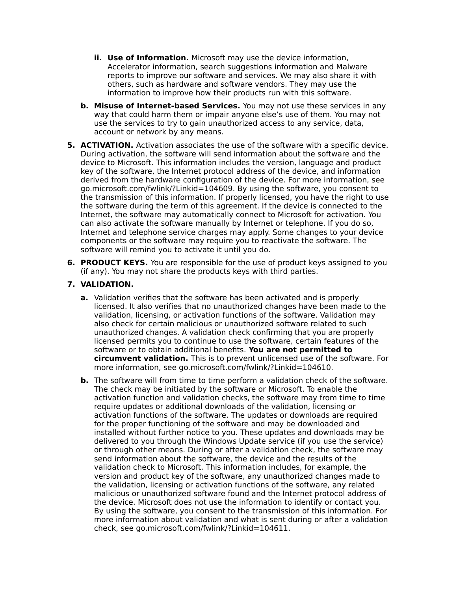- **ii. Use of Information.** Microsoft may use the device information, Accelerator information, search suggestions information and Malware reports to improve our software and services. We may also share it with others, such as hardware and software vendors. They may use the information to improve how their products run with this software.
- **b. Misuse of Internet-based Services.** You may not use these services in any way that could harm them or impair anyone else's use of them. You may not use the services to try to gain unauthorized access to any service, data, account or network by any means.
- **5. ACTIVATION.** Activation associates the use of the software with a specific device. During activation, the software will send information about the software and the device to Microsoft. This information includes the version, language and product key of the software, the Internet protocol address of the device, and information derived from the hardware configuration of the device. For more information, see go.microsoft.com/fwlink/?Linkid=104609. By using the software, you consent to the transmission of this information. If properly licensed, you have the right to use the software during the term of this agreement. If the device is connected to the Internet, the software may automatically connect to Microsoft for activation. You can also activate the software manually by Internet or telephone. If you do so, Internet and telephone service charges may apply. Some changes to your device components or the software may require you to reactivate the software. The software will remind you to activate it until you do.
- **6. PRODUCT KEYS.** You are responsible for the use of product keys assigned to you (if any). You may not share the products keys with third parties.

# **7. VALIDATION.**

- **a.** Validation verifies that the software has been activated and is properly licensed. It also verifies that no unauthorized changes have been made to the validation, licensing, or activation functions of the software. Validation may also check for certain malicious or unauthorized software related to such unauthorized changes. A validation check confirming that you are properly licensed permits you to continue to use the software, certain features of the software or to obtain additional benefits. **You are not permitted to circumvent validation.** This is to prevent unlicensed use of the software. For more information, see go.microsoft.com/fwlink/?Linkid=104610.
- **b.** The software will from time to time perform a validation check of the software. The check may be initiated by the software or Microsoft. To enable the activation function and validation checks, the software may from time to time require updates or additional downloads of the validation, licensing or activation functions of the software. The updates or downloads are required for the proper functioning of the software and may be downloaded and installed without further notice to you. These updates and downloads may be delivered to you through the Windows Update service (if you use the service) or through other means. During or after a validation check, the software may send information about the software, the device and the results of the validation check to Microsoft. This information includes, for example, the version and product key of the software, any unauthorized changes made to the validation, licensing or activation functions of the software, any related malicious or unauthorized software found and the Internet protocol address of the device. Microsoft does not use the information to identify or contact you. By using the software, you consent to the transmission of this information. For more information about validation and what is sent during or after a validation check, see go.microsoft.com/fwlink/?Linkid=104611.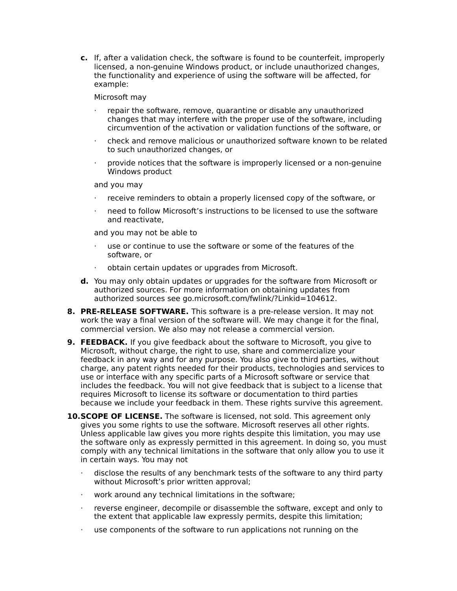**c.** If, after a validation check, the software is found to be counterfeit, improperly licensed, a non-genuine Windows product, or include unauthorized changes, the functionality and experience of using the software will be affected, for example:

Microsoft may

- repair the software, remove, quarantine or disable any unauthorized changes that may interfere with the proper use of the software, including circumvention of the activation or validation functions of the software, or
- · check and remove malicious or unauthorized software known to be related to such unauthorized changes, or
- $\cdot$  provide notices that the software is improperly licensed or a non-genuine Windows product

and you may

- receive reminders to obtain a properly licensed copy of the software, or
- · need to follow Microsoft's instructions to be licensed to use the software and reactivate,

and you may not be able to

- use or continue to use the software or some of the features of the software, or
- obtain certain updates or upgrades from Microsoft.
- **d.** You may only obtain updates or upgrades for the software from Microsoft or authorized sources. For more information on obtaining updates from authorized sources see go.microsoft.com/fwlink/?Linkid=104612.
- **8. PRE-RELEASE SOFTWARE.** This software is a pre-release version. It may not work the way a final version of the software will. We may change it for the final, commercial version. We also may not release a commercial version.
- **9. FEEDBACK.** If you give feedback about the software to Microsoft, you give to Microsoft, without charge, the right to use, share and commercialize your feedback in any way and for any purpose. You also give to third parties, without charge, any patent rights needed for their products, technologies and services to use or interface with any specific parts of a Microsoft software or service that includes the feedback. You will not give feedback that is subject to a license that requires Microsoft to license its software or documentation to third parties because we include your feedback in them. These rights survive this agreement.
- **10.SCOPE OF LICENSE.** The software is licensed, not sold. This agreement only gives you some rights to use the software. Microsoft reserves all other rights. Unless applicable law gives you more rights despite this limitation, you may use the software only as expressly permitted in this agreement. In doing so, you must comply with any technical limitations in the software that only allow you to use it in certain ways. You may not
	- $\cdot$  disclose the results of any benchmark tests of the software to any third party without Microsoft's prior written approval;
	- · work around any technical limitations in the software;
	- · reverse engineer, decompile or disassemble the software, except and only to the extent that applicable law expressly permits, despite this limitation;
	- · use components of the software to run applications not running on the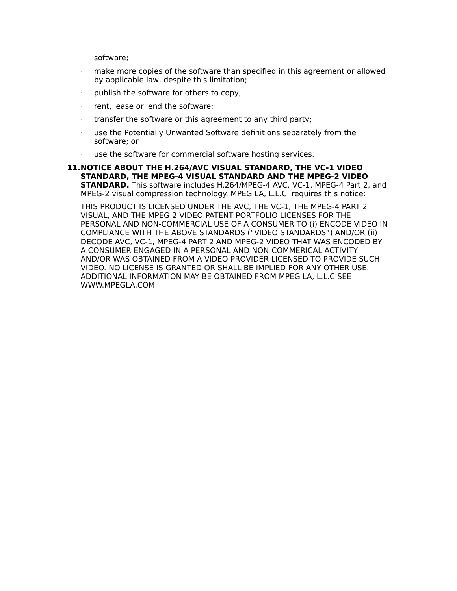software;

- make more copies of the software than specified in this agreement or allowed by applicable law, despite this limitation;
- publish the software for others to copy;
- · rent, lease or lend the software;
- · transfer the software or this agreement to any third party;
- · use the Potentially Unwanted Software definitions separately from the software; or
- · use the software for commercial software hosting services.
- **11.NOTICE ABOUT THE H.264/AVC VISUAL STANDARD, THE VC-1 VIDEO STANDARD, THE MPEG-4 VISUAL STANDARD AND THE MPEG-2 VIDEO STANDARD.** This software includes H.264/MPEG-4 AVC, VC-1, MPEG-4 Part 2, and MPEG-2 visual compression technology. MPEG LA, L.L.C. requires this notice:

THIS PRODUCT IS LICENSED UNDER THE AVC, THE VC-1, THE MPEG-4 PART 2 VISUAL, AND THE MPEG-2 VIDEO PATENT PORTFOLIO LICENSES FOR THE PERSONAL AND NON-COMMERCIAL USE OF A CONSUMER TO (i) ENCODE VIDEO IN COMPLIANCE WITH THE ABOVE STANDARDS ("VIDEO STANDARDS") AND/OR (ii) DECODE AVC, VC-1, MPEG-4 PART 2 AND MPEG-2 VIDEO THAT WAS ENCODED BY A CONSUMER ENGAGED IN A PERSONAL AND NON-COMMERICAL ACTIVITY AND/OR WAS OBTAINED FROM A VIDEO PROVIDER LICENSED TO PROVIDE SUCH VIDEO. NO LICENSE IS GRANTED OR SHALL BE IMPLIED FOR ANY OTHER USE. ADDITIONAL INFORMATION MAY BE OBTAINED FROM MPEG LA, L.L.C SEE WWW.MPEGLA.COM.